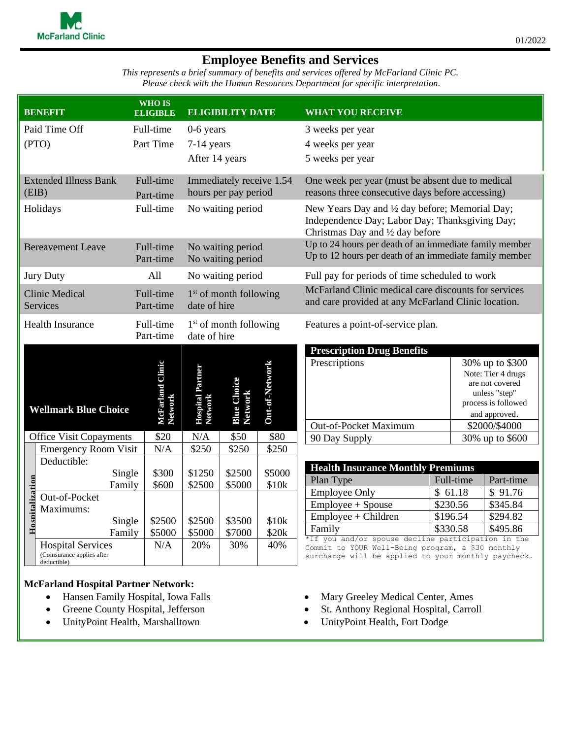## **Employee Benefits and Services**

*This represents a brief summary of benefits and services offered by McFarland Clinic PC. Please check with the Human Resources Department for specific interpretation.*

|                                                   | <b>BENEFIT</b>                                                        | <b>WHO IS</b><br><b>ELIGIBLE</b> |                                                  | <b>ELIGIBILITY DATE</b>       |                   | <b>WHAT YOU RECEIVE</b>                                                                                                                                        |          |  |                                                                                                                   |  |
|---------------------------------------------------|-----------------------------------------------------------------------|----------------------------------|--------------------------------------------------|-------------------------------|-------------------|----------------------------------------------------------------------------------------------------------------------------------------------------------------|----------|--|-------------------------------------------------------------------------------------------------------------------|--|
|                                                   | Paid Time Off                                                         | Full-time                        | $0-6$ years                                      |                               |                   | 3 weeks per year                                                                                                                                               |          |  |                                                                                                                   |  |
|                                                   | (PTO)                                                                 | Part Time                        | 7-14 years                                       |                               |                   | 4 weeks per year                                                                                                                                               |          |  |                                                                                                                   |  |
|                                                   |                                                                       |                                  | After 14 years                                   |                               |                   | 5 weeks per year                                                                                                                                               |          |  |                                                                                                                   |  |
| (EIB)                                             | <b>Extended Illness Bank</b>                                          | Full-time<br>Part-time           | Immediately receive 1.54<br>hours per pay period |                               |                   | One week per year (must be absent due to medical<br>reasons three consecutive days before accessing)                                                           |          |  |                                                                                                                   |  |
|                                                   | Holidays                                                              | Full-time                        | No waiting period                                |                               |                   | New Years Day and 1/2 day before; Memorial Day;<br>Independence Day; Labor Day; Thanksgiving Day;<br>Christmas Day and 1/2 day before                          |          |  |                                                                                                                   |  |
|                                                   | <b>Bereavement Leave</b>                                              | Full-time<br>Part-time           | No waiting period<br>No waiting period           |                               |                   | Up to 24 hours per death of an immediate family member<br>Up to 12 hours per death of an immediate family member                                               |          |  |                                                                                                                   |  |
|                                                   | <b>Jury Duty</b>                                                      | All                              | No waiting period                                |                               |                   | Full pay for periods of time scheduled to work                                                                                                                 |          |  |                                                                                                                   |  |
| <b>Clinic Medical</b><br><b>Services</b>          |                                                                       | Full-time<br>Part-time           | $1st$ of month following<br>date of hire         |                               |                   | McFarland Clinic medical care discounts for services<br>and care provided at any McFarland Clinic location.                                                    |          |  |                                                                                                                   |  |
| Full-time<br><b>Health Insurance</b><br>Part-time |                                                                       |                                  | $1st$ of month following<br>date of hire         |                               |                   | Features a point-of-service plan.                                                                                                                              |          |  |                                                                                                                   |  |
|                                                   |                                                                       |                                  |                                                  |                               |                   | <b>Prescription Drug Benefits</b>                                                                                                                              |          |  |                                                                                                                   |  |
|                                                   | <b>Wellmark Blue Choice</b>                                           | McFarland Clinic<br>Network      | Hospital Partner<br>Network                      | <b>Blue Choice</b><br>Network | Out-of-Network    | Prescriptions                                                                                                                                                  |          |  | 30% up to \$300<br>Note: Tier 4 drugs<br>are not covered<br>unless "step"<br>process is followed<br>and approved. |  |
| <b>Office Visit Copayments</b>                    |                                                                       | \$20                             | N/A                                              | \$50                          | \$80              | Out-of-Pocket Maximum<br>90 Day Supply                                                                                                                         |          |  | \$2000/\$4000<br>30% up to \$600                                                                                  |  |
|                                                   | <b>Emergency Room Visit</b>                                           | N/A                              | \$250                                            | \$250                         | \$250             |                                                                                                                                                                |          |  |                                                                                                                   |  |
|                                                   | Deductible:                                                           |                                  |                                                  |                               |                   |                                                                                                                                                                |          |  |                                                                                                                   |  |
|                                                   | Single                                                                | \$300                            | \$1250                                           | \$2500                        | \$5000            | <b>Health Insurance Monthly Premiums</b><br>Plan Type<br>Full-time                                                                                             |          |  | Part-time                                                                                                         |  |
|                                                   | Family                                                                | \$600                            | \$2500                                           | \$5000                        | \$10k             | <b>Employee Only</b>                                                                                                                                           | \$61.18  |  | \$91.76                                                                                                           |  |
|                                                   | Out-of-Pocket                                                         |                                  |                                                  |                               |                   | Employee + Spouse                                                                                                                                              | \$230.56 |  | \$345.84                                                                                                          |  |
| Hospitalization                                   | Maximums:<br>Single                                                   | \$2500                           | \$2500                                           | \$3500                        | \$10 <sub>k</sub> | Employee + Children                                                                                                                                            | \$196.54 |  | \$294.82                                                                                                          |  |
|                                                   | Family                                                                | \$5000                           | \$5000                                           | \$7000                        | \$20k             | Family                                                                                                                                                         | \$330.58 |  | \$495.86                                                                                                          |  |
|                                                   | <b>Hospital Services</b><br>(Coinsurance applies after<br>deductible) | N/A                              | 20%                                              | 30%                           | 40%               | *If you and/or spouse decline participation in the<br>Commit to YOUR Well-Being program, a \$30 monthly<br>surcharge will be applied to your monthly paycheck. |          |  |                                                                                                                   |  |

## **McFarland Hospital Partner Network:**

- Hansen Family Hospital, Iowa Falls
- Greene County Hospital, Jefferson
- UnityPoint Health, Marshalltown
- Mary Greeley Medical Center, Ames
- St. Anthony Regional Hospital, Carroll
- UnityPoint Health, Fort Dodge